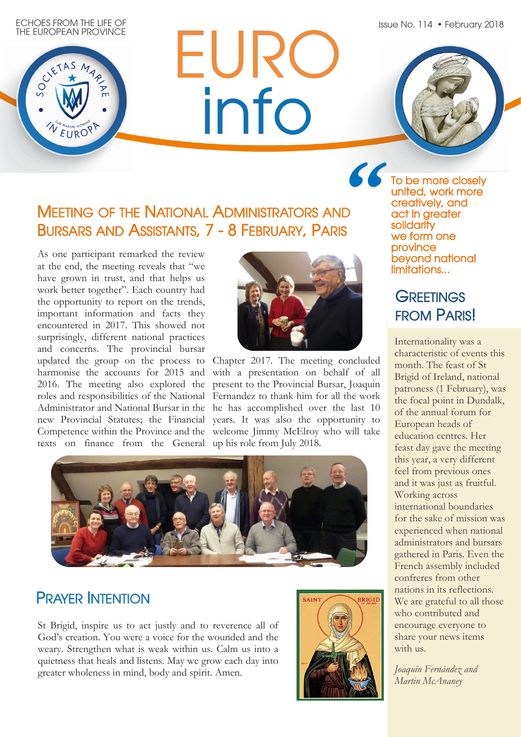Issue No. 114 • February 2018

ECHOES FROM THE LIFE OF THE EUROPEAN PROVINCE WEURO

# EURC info



## MEETING OF THE NATIONAL ADMINISTRATORS AND BURSARS AND ASSISTANTS, 7 - 8 FEBRUARY, PARIS

As one participant remarked the review at the end, the meeting reveals that "we have grown in trust, and that helps us work better together". Each country had the opportunity to report on the trends, important information and facts they encountered in 2017. This showed not surprisingly, different national practices and concerns. The provincial bursar updated the group on the process to harmonise the accounts for 2015 and 2016. The meeting also explored the roles and responsibilities of the National Administrator and National Bursar in the new Provincial Statutes; the Financial Competence within the Province and the welcome Jimmy McElroy who will take texts on finance from the General up his role from July 2018.



Chapter 2017. The meeting concluded with a presentation on behalf of all present to the Provincial Bursar, Joaquin Fernandez to thank him for all the work he has accomplished over the last 10 years. It was also the opportunity to



### PRAYER INTENTION

St Brigid, inspire us to act justly and to reverence all of God's creation. You were a voice for the wounded and the weary. Strengthen what is weak within us. Calm us into a quietness that heals and listens. May we grow each day into greater wholeness in mind, body and spirit. Amen.



**"**To be more closely united, work more creatively, and act in greater solidarity we form one province beyond national limitations...

### **GREETINGS** FROM PARIS!

Internationality was a characteristic of events this month. The feast of St Brigid of Ireland, national patroness (1 February), was the focal point in Dundalk, of the annual forum for European heads of education centres. Her feast day gave the meeting this year, a very different feel from previous ones and it was just as fruitful. Working across international boundaries for the sake of mission was experienced when national administrators and bursars gathered in Paris. Even the French assembly included confreres from other nations in its reflections. We are grateful to all those who contributed and encourage everyone to share your news items with us.

*Joaquín Fernández and Martin McAnaney*